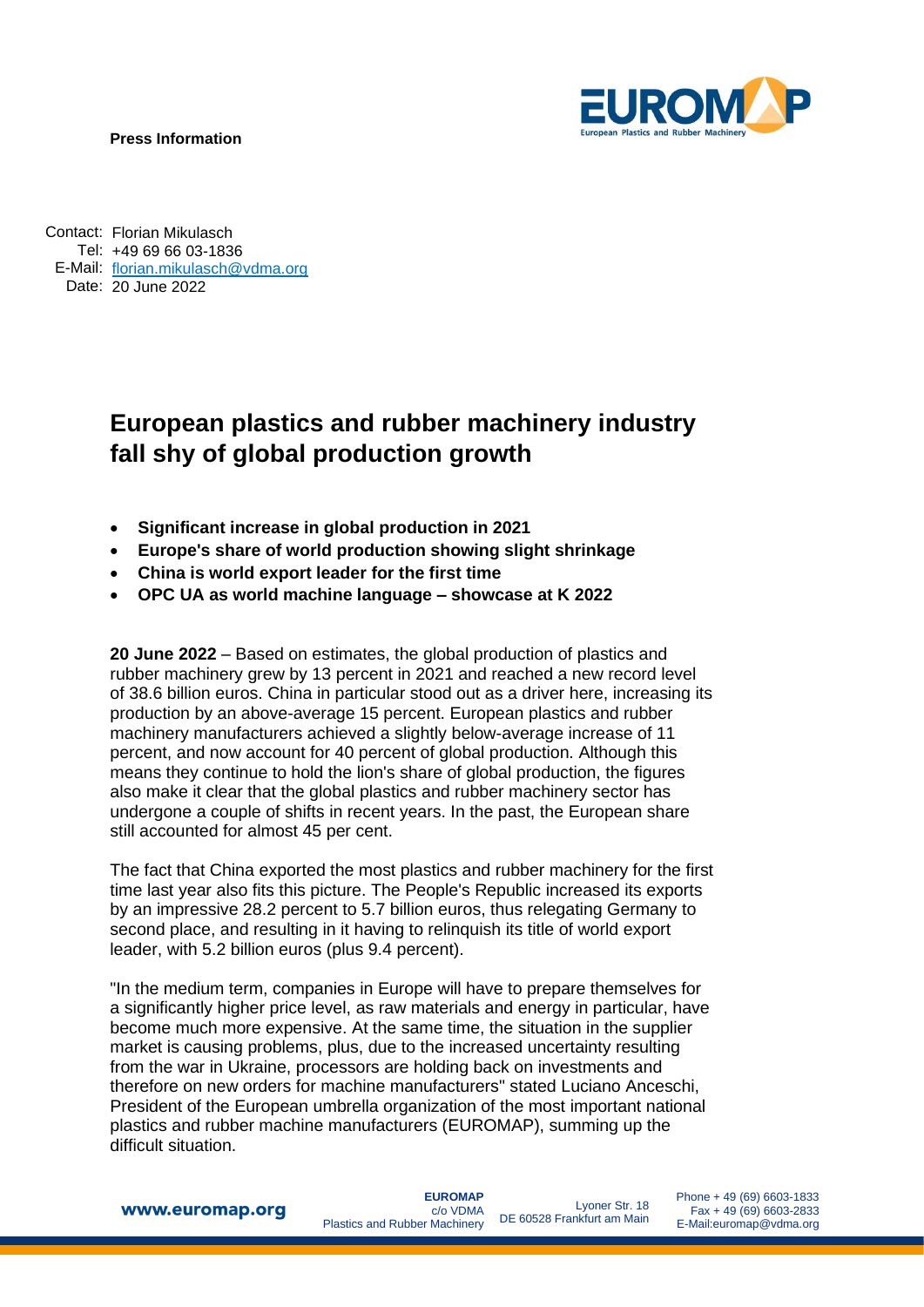**Press Information**



Contact: Florian Mikulasch Tel: +49 69 66 03-1836 E-Mail: [florian.mikulasch@vdma.org](mailto:florian.mikulasch@vdma.org) Date: 20 June 2022

## **European plastics and rubber machinery industry fall shy of global production growth**

- **Significant increase in global production in 2021**
- **Europe's share of world production showing slight shrinkage**
- **China is world export leader for the first time**
- **OPC UA as world machine language – showcase at K 2022**

**20 June 2022** – Based on estimates, the global production of plastics and rubber machinery grew by 13 percent in 2021 and reached a new record level of 38.6 billion euros. China in particular stood out as a driver here, increasing its production by an above-average 15 percent. European plastics and rubber machinery manufacturers achieved a slightly below-average increase of 11 percent, and now account for 40 percent of global production. Although this means they continue to hold the lion's share of global production, the figures also make it clear that the global plastics and rubber machinery sector has undergone a couple of shifts in recent years. In the past, the European share still accounted for almost 45 per cent.

The fact that China exported the most plastics and rubber machinery for the first time last year also fits this picture. The People's Republic increased its exports by an impressive 28.2 percent to 5.7 billion euros, thus relegating Germany to second place, and resulting in it having to relinquish its title of world export leader, with 5.2 billion euros (plus 9.4 percent).

"In the medium term, companies in Europe will have to prepare themselves for a significantly higher price level, as raw materials and energy in particular, have become much more expensive. At the same time, the situation in the supplier market is causing problems, plus, due to the increased uncertainty resulting from the war in Ukraine, processors are holding back on investments and therefore on new orders for machine manufacturers" stated Luciano Anceschi, President of the European umbrella organization of the most important national plastics and rubber machine manufacturers (EUROMAP), summing up the difficult situation.

www.euromap.org

**EUROMAP**  c/o VDMA Plastics and Rubber Machinery

Lyoner Str. 18 DE 60528 Frankfurt am Main Phone + 49 (69) 6603-1833 Fax + 49 (69) 6603-2833 E-Mail:euromap@vdma.org